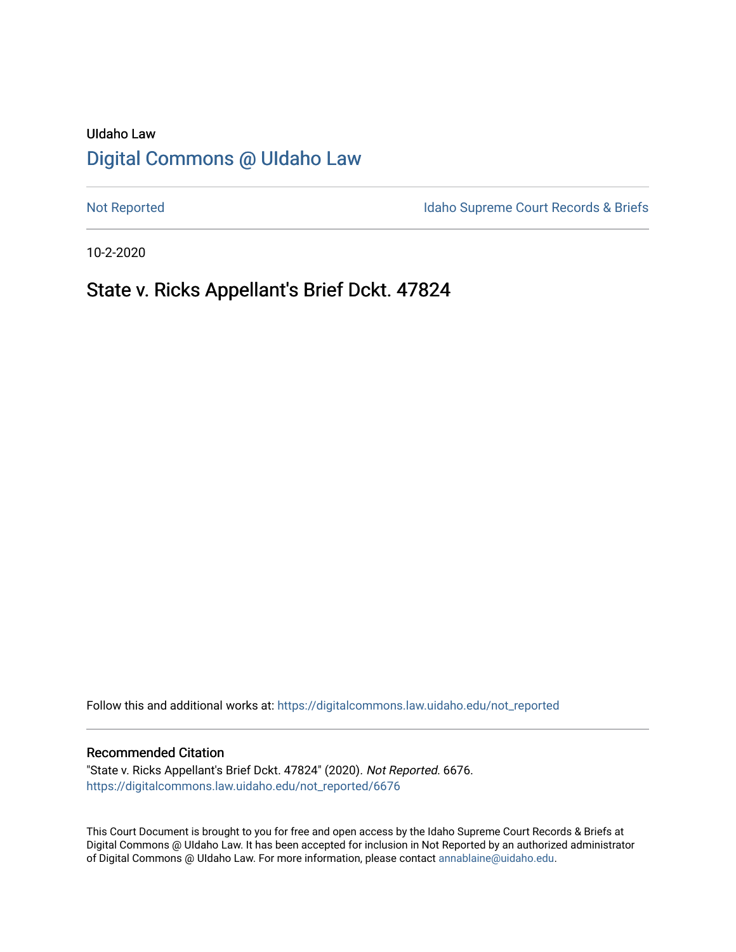# UIdaho Law [Digital Commons @ UIdaho Law](https://digitalcommons.law.uidaho.edu/)

[Not Reported](https://digitalcommons.law.uidaho.edu/not_reported) **Idaho Supreme Court Records & Briefs** 

10-2-2020

# State v. Ricks Appellant's Brief Dckt. 47824

Follow this and additional works at: [https://digitalcommons.law.uidaho.edu/not\\_reported](https://digitalcommons.law.uidaho.edu/not_reported?utm_source=digitalcommons.law.uidaho.edu%2Fnot_reported%2F6676&utm_medium=PDF&utm_campaign=PDFCoverPages) 

### Recommended Citation

"State v. Ricks Appellant's Brief Dckt. 47824" (2020). Not Reported. 6676. [https://digitalcommons.law.uidaho.edu/not\\_reported/6676](https://digitalcommons.law.uidaho.edu/not_reported/6676?utm_source=digitalcommons.law.uidaho.edu%2Fnot_reported%2F6676&utm_medium=PDF&utm_campaign=PDFCoverPages)

This Court Document is brought to you for free and open access by the Idaho Supreme Court Records & Briefs at Digital Commons @ UIdaho Law. It has been accepted for inclusion in Not Reported by an authorized administrator of Digital Commons @ UIdaho Law. For more information, please contact [annablaine@uidaho.edu](mailto:annablaine@uidaho.edu).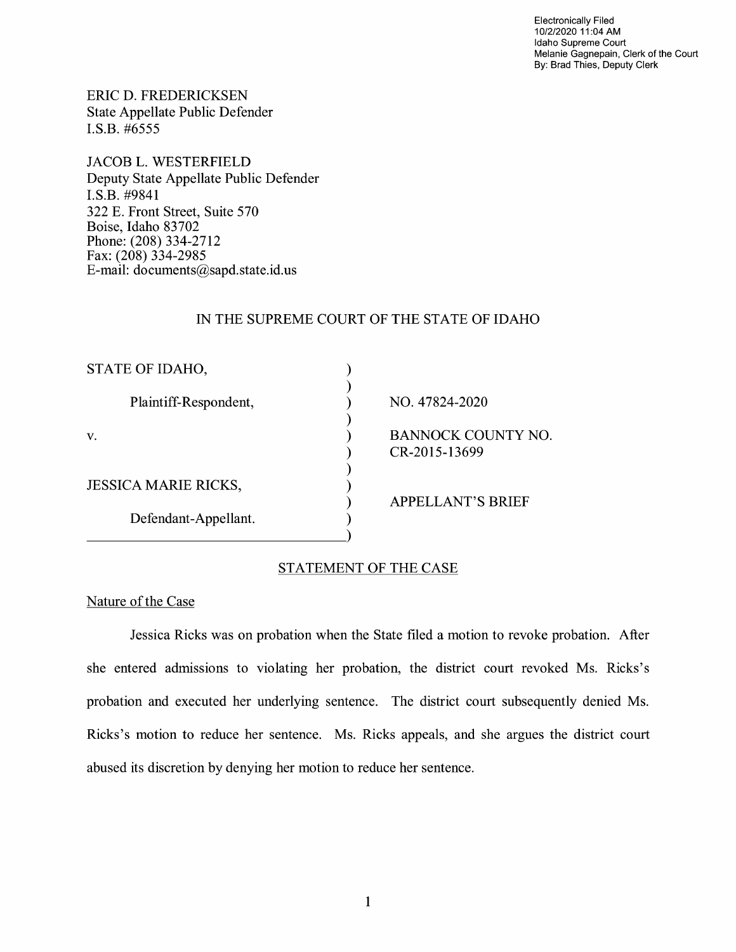Electronically Filed 10/2/2020 11 :04 AM Idaho Supreme Court Melanie Gagnepain, Clerk of the Court By: Brad Thies, Deputy Clerk

ERIC D. FREDERICKSEN State Appellate Public Defender I.S.B. #6555

JACOB L. WESTERFIELD Deputy State Appellate Public Defender I.S.B. #9841 322 E. Front Street, Suite 570 Boise, Idaho 83702 Phone: (208) 334-2712 Fax: (208) 334-2985 E-mail: documents@sapd.state.id. us

## IN THE SUPREME COURT OF THE STATE OF IDAHO

| STATE OF IDAHO,             |                                            |
|-----------------------------|--------------------------------------------|
| Plaintiff-Respondent,       | NO. 47824-2020                             |
| v.                          | <b>BANNOCK COUNTY NO.</b><br>CR-2015-13699 |
| <b>JESSICA MARIE RICKS,</b> |                                            |
| Defendant-Appellant.        | <b>APPELLANT'S BRIEF</b>                   |

# STATEMENT OF THE CASE

## Nature of the Case

Jessica Ricks was on probation when the State filed a motion to revoke probation. After she entered admissions to violating her probation, the district court revoked Ms. Ricks's probation and executed her underlying sentence. The district court subsequently denied Ms. Ricks's motion to reduce her sentence. Ms. Ricks appeals, and she argues the district court abused its discretion by denying her motion to reduce her sentence.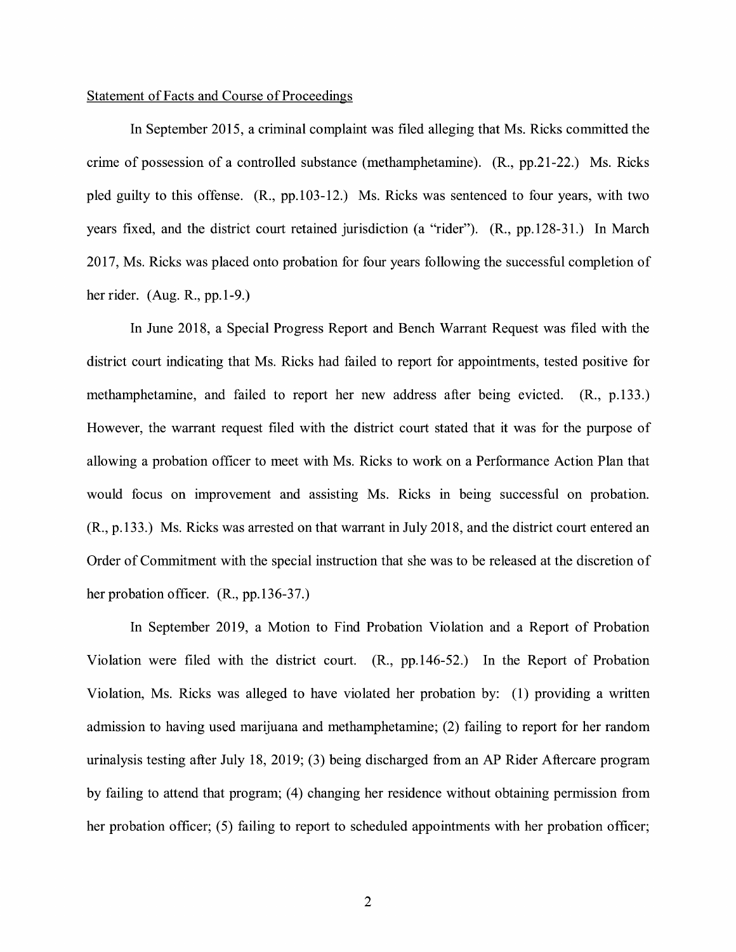### Statement of Facts and Course of Proceedings

In September 2015, a criminal complaint was filed alleging that Ms. Ricks committed the crime of possession of a controlled substance (methamphetamine). (R., pp.21-22.) Ms. Ricks pled guilty to this offense. (R., pp.103-12.) Ms. Ricks was sentenced to four years, with two years fixed, and the district court retained jurisdiction (a "rider"). (R., pp.128-31.) In March 2017, Ms. Ricks was placed onto probation for four years following the successful completion of her rider. (Aug. R., pp.1-9.)

In June 2018, a Special Progress Report and Bench Warrant Request was filed with the district court indicating that Ms. Ricks had failed to report for appointments, tested positive for methamphetamine, and failed to report her new address after being evicted. (R., p.133.) However, the warrant request filed with the district court stated that it was for the purpose of allowing a probation officer to meet with Ms. Ricks to work on a Performance Action Plan that would focus on improvement and assisting Ms. Ricks in being successful on probation. (R., p.133.) Ms. Ricks was arrested on that warrant in July 2018, and the district court entered an Order of Commitment with the special instruction that she was to be released at the discretion of her probation officer. (R., pp.136-37.)

In September 2019, a Motion to Find Probation Violation and a Report of Probation Violation were filed with the district court. (R., pp.146-52.) In the Report of Probation Violation, Ms. Ricks was alleged to have violated her probation by: (1) providing a written admission to having used marijuana and methamphetamine; (2) failing to report for her random urinalysis testing after July 18, 2019; (3) being discharged from an AP Rider Aftercare program by failing to attend that program; (4) changing her residence without obtaining permission from her probation officer; (5) failing to report to scheduled appointments with her probation officer;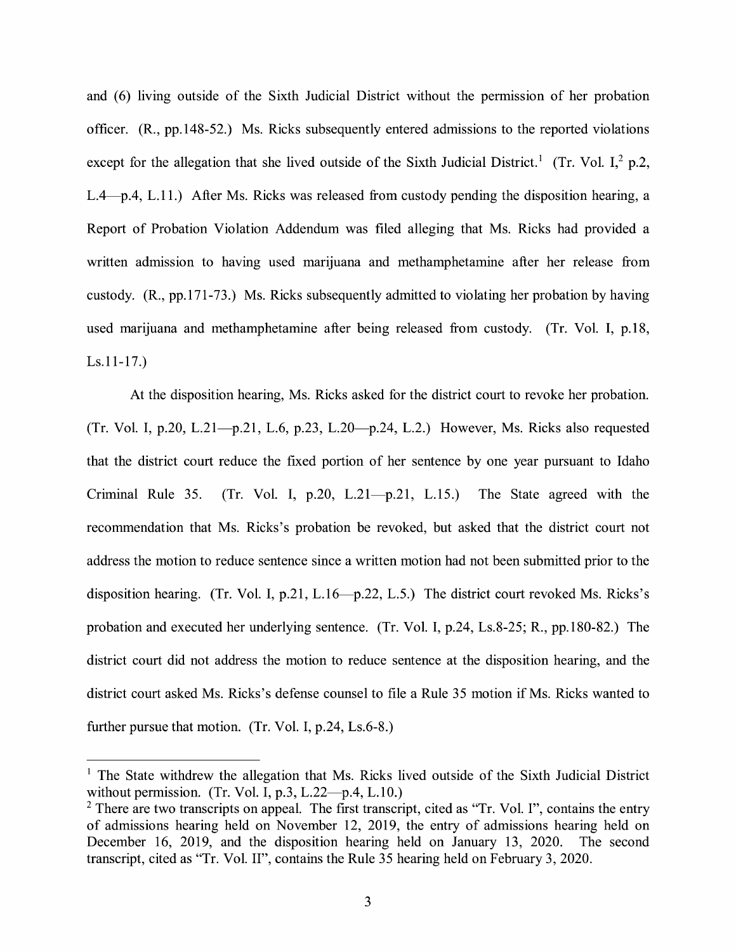and (6) living outside of the Sixth Judicial District without the permission of her probation officer. (R., pp.148-52.) Ms. Ricks subsequently entered admissions to the reported violations except for the allegation that she lived outside of the Sixth Judicial District.<sup>1</sup> (Tr. Vol. I,<sup>2</sup> p.2, L.4—p.4, L.11.) After Ms. Ricks was released from custody pending the disposition hearing, a Report of Probation Violation Addendum was filed alleging that Ms. Ricks had provided a written admission to having used marijuana and methamphetamine after her release from custody. (R., pp.171-73.) Ms. Ricks subsequently admitted to violating her probation by having used marijuana and methamphetamine after being released from custody. (Tr. Vol. I, p.18, Ls.11-17.)

At the disposition hearing, Ms. Ricks asked for the district court to revoke her probation. (Tr. Vol. I, p.20, L.21-p.21, L.6, p.23, L.20-p.24, L.2.) However, Ms. Ricks also requested that the district court reduce the fixed portion of her sentence by one year pursuant to Idaho Criminal Rule 35. (Tr. Vol. I,  $p.20$ , L.21- $p.21$ , L.15.) The State agreed with the recommendation that Ms. Ricks's probation be revoked, but asked that the district court not address the motion to reduce sentence since a written motion had not been submitted prior to the disposition hearing. (Tr. Vol. I, p.21, L.16—p.22, L.5.) The district court revoked Ms. Ricks's probation and executed her underlying sentence. (Tr. Vol. I, p.24, Ls.8-25; R., pp.180-82.) The district court did not address the motion to reduce sentence at the disposition hearing, and the district court asked Ms. Ricks's defense counsel to file a Rule 35 motion if Ms. Ricks wanted to further pursue that motion. (Tr. Vol. I, p.24, Ls.6-8.)

 $1$  The State withdrew the allegation that Ms. Ricks lived outside of the Sixth Judicial District without permission. (Tr. Vol. I, p.3, L.22 $-p.4$ , L.10.)

<sup>&</sup>lt;sup>2</sup> There are two transcripts on appeal. The first transcript, cited as "Tr. Vol. I", contains the entry of admissions hearing held on November 12, 2019, the entry of admissions hearing held on December 16, 2019, and the disposition hearing held on January 13, 2020. The second transcript, cited as "Tr. Vol. II", contains the Rule 35 hearing held on February 3, 2020.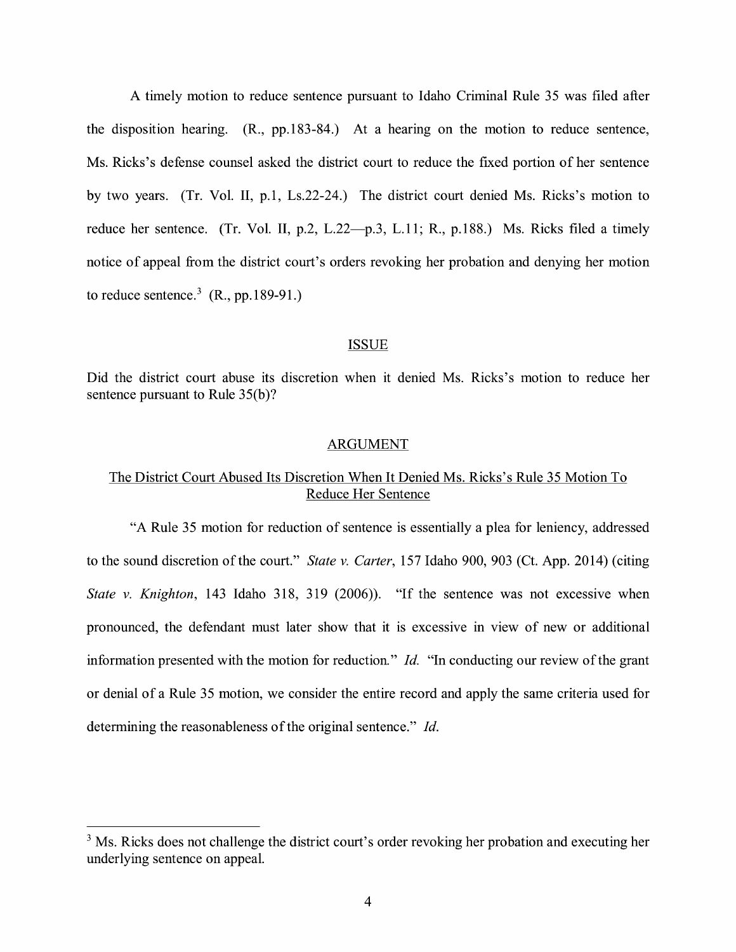A timely motion to reduce sentence pursuant to Idaho Criminal Rule 35 was filed after the disposition hearing. (R., pp.183-84.) At a hearing on the motion to reduce sentence, Ms. Ricks's defense counsel asked the district court to reduce the fixed portion of her sentence by two years. (Tr. Vol. II, p.1, Ls.22-24.) The district court denied Ms. Ricks's motion to reduce her sentence. (Tr. Vol. II, p.2, L.22—p.3, L.11; R., p.188.) Ms. Ricks filed a timely notice of appeal from the district court's orders revoking her probation and denying her motion to reduce sentence.<sup>3</sup>  $(R., pp.189-91.)$ 

#### ISSUE

Did the district court abuse its discretion when it denied Ms. Ricks's motion to reduce her sentence pursuant to Rule  $35(b)$ ?

### ARGUMENT

# The District Court Abused Its Discretion When It Denied Ms. Ricks's Rule 35 Motion To Reduce Her Sentence

"A Rule 35 motion for reduction of sentence is essentially a plea for leniency, addressed to the sound discretion of the court." *State v. Carter,* 157 Idaho 900, 903 (Ct. App. 2014) (citing *State v. Knighton,* 143 Idaho 318, 319 (2006)). "If the sentence was not excessive when pronounced, the defendant must later show that it is excessive in view of new or additional information presented with the motion for reduction." *Id.* "In conducting our review of the grant or denial of a Rule 35 motion, we consider the entire record and apply the same criteria used for determining the reasonableness of the original sentence." *Id.* 

<sup>&</sup>lt;sup>3</sup> Ms. Ricks does not challenge the district court's order revoking her probation and executing her underlying sentence on appeal.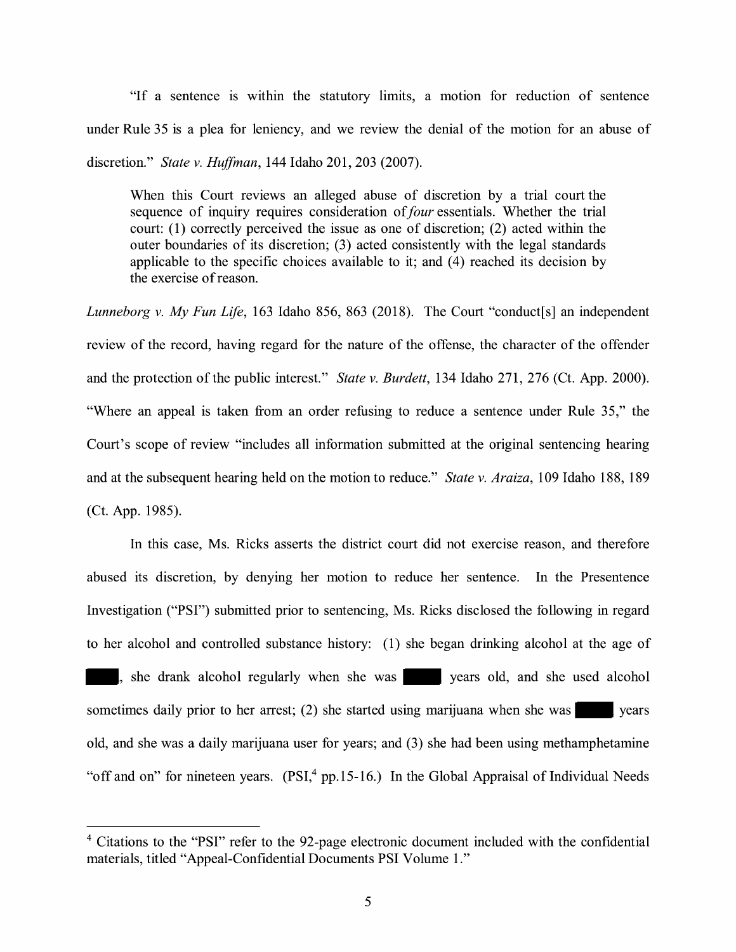"If a sentence is within the statutory limits, a motion for reduction of sentence under Rule 35 is a plea for leniency, and we review the denial of the motion for an abuse of discretion." *State v. Huffman,* 144 Idaho 201, 203 (2007).

When this Court reviews an alleged abuse of discretion by a trial court the sequence of inquiry requires consideration of *four* essentials. Whether the trial court: (1) correctly perceived the issue as one of discretion; (2) acted within the outer boundaries of its discretion; (3) acted consistently with the legal standards applicable to the specific choices available to it; and  $(4)$  reached its decision by the exercise of reason.

*Lunneborg v. My Fun Life,* 163 Idaho 856, 863 (2018). The Court "conduct[s] an independent review of the record, having regard for the nature of the offense, the character of the offender and the protection of the public interest." *State v. Burdett,* 134 Idaho 271, 276 (Ct. App. 2000). "Where an appeal is taken from an order refusing to reduce a sentence under Rule 35," the Court's scope of review "includes all information submitted at the original sentencing hearing and at the subsequent hearing held on the motion to reduce." *State v. Araiza,* 109 Idaho 188, 189 (Ct. App. 1985).

In this case, Ms. Ricks asserts the district court did not exercise reason, and therefore abused its discretion, by denying her motion to reduce her sentence. In the Presentence Investigation ("PSI") submitted prior to sentencing, Ms. Ricks disclosed the following in regard to her alcohol and controlled substance history: (1) she began drinking alcohol at the age of , she drank alcohol regularly when she was years old, and she used alcohol sometimes daily prior to her arrest; (2) she started using marijuana when she was years old, and she was a daily marijuana user for years; and (3) she had been using methamphetamine "off and on" for nineteen years.  $(PSI<sup>4</sup><sub>1</sub>pp.15-16.)$  In the Global Appraisal of Individual Needs

<sup>4</sup>Citations to the **"PSI"** refer to the 92-page electronic document included with the confidential materials, titled "Appeal-Confidential Documents PSI Volume 1."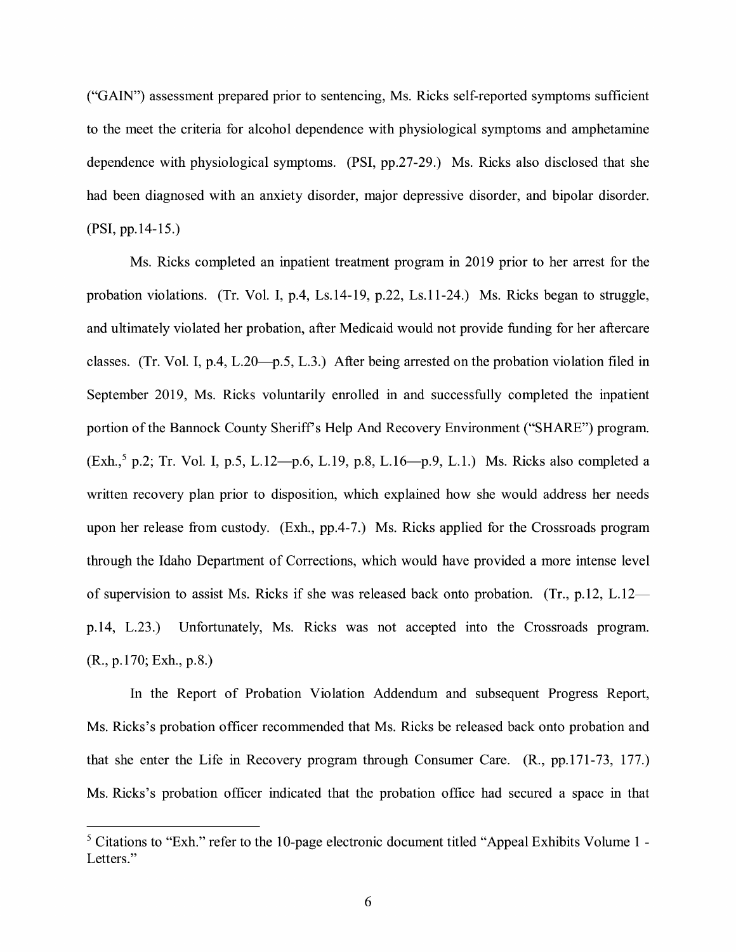("GAIN") assessment prepared prior to sentencing, Ms. Ricks self-reported symptoms sufficient to the meet the criteria for alcohol dependence with physiological symptoms and amphetamine dependence with physiological symptoms. (PSI, pp.27-29.) Ms. Ricks also disclosed that she had been diagnosed with an anxiety disorder, major depressive disorder, and bipolar disorder. **(PSI,** pp.14-15.)

Ms. Ricks completed an inpatient treatment program in 2019 prior to her arrest for the probation violations. (Tr. Vol. I, p.4, Ls.14-19, p.22, Ls.11-24.) Ms. Ricks began to struggle, and ultimately violated her probation, after Medicaid would not provide funding for her aftercare classes. (Tr. Vol. I, p.4, L.20—p.5, L.3.) After being arrested on the probation violation filed in September 2019, Ms. Ricks voluntarily enrolled in and successfully completed the inpatient portion of the Bannock County Sheriff's Help And Recovery Environment ("SHARE") program. (Exh., 5 p.2; Tr. Vol. I, p.5, L.12-p.6, L.19, p.8, L.16-p.9, L.1.) Ms. Ricks also completed a written recovery plan prior to disposition, which explained how she would address her needs upon her release from custody. (Exh., pp.4-7.) Ms. Ricks applied for the Crossroads program through the Idaho Department of Corrections, which would have provided a more intense level of supervision to assist Ms. Ricks if she was released back onto probation. (Tr., p.12, L.12p.14, L.23.) Unfortunately, Ms. Ricks was not accepted into the Crossroads program. (R., p.170; Exh., p.8.)

In the Report of Probation Violation Addendum and subsequent Progress Report, Ms. Ricks's probation officer recommended that Ms. Ricks be released back onto probation and that she enter the Life in Recovery program through Consumer Care. (R., pp.171-73, 177.) Ms. Ricks's probation officer indicated that the probation office had secured a space in that

<sup>&</sup>lt;sup>5</sup> Citations to "Exh." refer to the 10-page electronic document titled "Appeal Exhibits Volume 1 -Letters."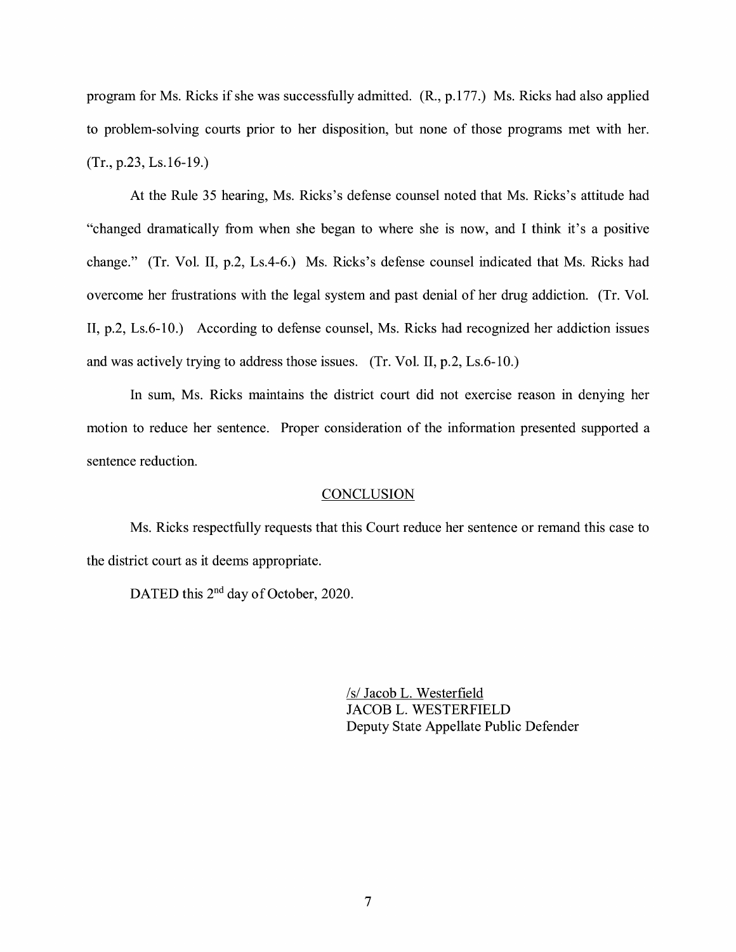program for Ms. Ricks if she was successfully admitted. (R., p.177.) Ms. Ricks had also applied to problem-solving courts prior to her disposition, but none of those programs met with her. (Tr., p.23, Ls.16-19.)

At the Rule 35 hearing, Ms. Ricks's defense counsel noted that Ms. Ricks's attitude had "changed dramatically from when she began to where she is now, and I think it's a positive change." (Tr. Vol. II, p.2, Ls.4-6.) Ms. Ricks's defense counsel indicated that Ms. Ricks had overcome her frustrations with the legal system and past denial of her drug addiction. (Tr. Vol. II, p.2, Ls.6-10.) According to defense counsel, Ms. Ricks had recognized her addiction issues and was actively trying to address those issues. (Tr. Vol. II, p.2, Ls.6-10.)

In sum, Ms. Ricks maintains the district court did not exercise reason in denying her motion to reduce her sentence. Proper consideration of the information presented supported a sentence reduction.

#### **CONCLUSION**

Ms. Ricks respectfully requests that this Court reduce her sentence or remand this case to the district court as it deems appropriate.

DATED this 2<sup>nd</sup> day of October, 2020.

/s/ Jacob L. Westerfield JACOB L. WESTERFIELD Deputy State Appellate Public Defender